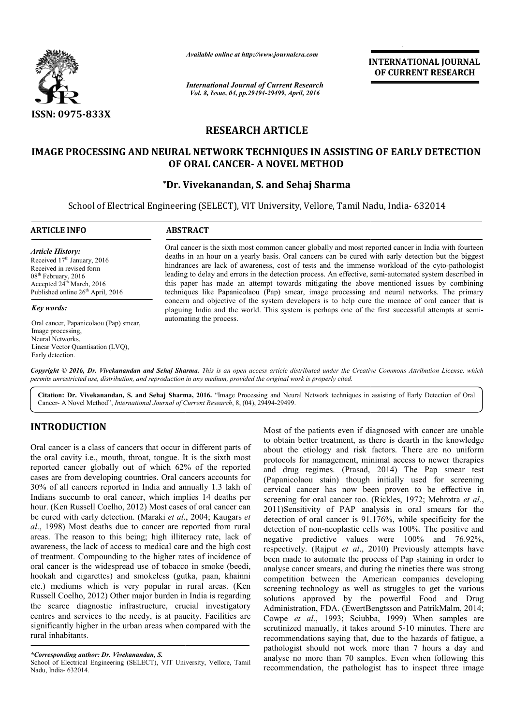

*Available online at http://www.journalcra.com*

*International Journal of Current Research Vol. 8, Issue, 04, pp.29494-29499, April, 2016*

**INTERNATIONAL JOURNAL OF CURRENT RESEARCH** 

# **RESEARCH ARTICLE**

## **IMAGE PROCESSING AND NEURAL NETWORK TECHNIQUES IN ASSISTING OF EARLY DETECTION OF ORAL CANCER CANCER- A NOVEL METHOD**

### **\*Dr. Vivekanandan Vivekanandan, S. and Sehaj Sharma**

School of Electrical Engineering (SELECT), VIT University, Vellore, Tamil Nadu, India- 632014

| <b>ARTICLE INFO</b>                                                                                                                                                                              | <b>ABSTRACT</b>                                                                                                                                                                                                                                                                                                                                                                                                                                                                                                                                                                                                       |  |  |
|--------------------------------------------------------------------------------------------------------------------------------------------------------------------------------------------------|-----------------------------------------------------------------------------------------------------------------------------------------------------------------------------------------------------------------------------------------------------------------------------------------------------------------------------------------------------------------------------------------------------------------------------------------------------------------------------------------------------------------------------------------------------------------------------------------------------------------------|--|--|
| Article History:<br>Received 17 <sup>th</sup> January, 2016<br>Received in revised form<br>$08th$ February, 2016<br>Accepted $24th$ March, 2016<br>Published online 26 <sup>th</sup> April, 2016 | Oral cancer is the sixth most common cancer globally and most reported cancer in India with fourteen<br>deaths in an hour on a yearly basis. Oral cancers can be cured with early detection but the biggest<br>hindrances are lack of awareness, cost of tests and the immense workload of the cyto-pathologist<br>leading to delay and errors in the detection process. An effective, semi-automated system described in<br>this paper has made an attempt towards mitigating the above mentioned issues by combining<br>techniques like Papanicolaou (Pap) smear, image processing and neural networks. The primary |  |  |
| Key words:                                                                                                                                                                                       | concern and objective of the system developers is to help cure the menace of oral cancer that is<br>plaguing India and the world. This system is perhaps one of the first successful attempts at semi-                                                                                                                                                                                                                                                                                                                                                                                                                |  |  |
| Oral cancer, Papanicolaou (Pap) smear,<br>Image processing.<br>Neural Networks.<br>Linear Vector Quantisation (LVQ),<br>Early detection.                                                         | automating the process.                                                                                                                                                                                                                                                                                                                                                                                                                                                                                                                                                                                               |  |  |

Copyright © 2016, Dr. Vivekanandan and Sehaj Sharma. This is an open access article distributed under the Creative Commons Attribution License, which *permits unrestricted use, distribution, and reproduction in any medium, provided the original work is properly cited.*

Citation: Dr. Vivekanandan, S. and Sehaj Sharma, 2016. "Image Processing and Neural Network techniques in assisting of Early Detection of Oral Cancer- A Novel Method", *International Journal of Current Research* , 8, (04), 29494-29499.

## **INTRODUCTION**

Oral cancer is a class of cancers that occur in different parts of the oral cavity i.e., mouth, throat, tongue. It is the sixth most reported cancer globally out of which 62% of the reported cases are from developing countries. Oral cancers accounts for 30% of all cancers reported in India and annually 1.3 lakh of Indians succumb to oral cancer, which implies 14 deaths per hour. (Ken Russell Coelho, 2012) Most cases of oral cancer can be cured with early detection. (Maraki *et al*., 2004; *al*., 1998) Most deaths due to cancer are reported from rural areas. The reason to this being; high illiteracy rate, lack of awareness, the lack of access to medical care and the high cost of treatment. Compounding to the higher rates of incidence of oral cancer is the widespread use of tobacco in smoke (beedi, hookah and cigarettes) and smokeless (gutka, paan, khainni etc.) mediums which is very popular in rural areas. (Ken Russell Coelho, 2012) Other major burden in India is regarding the scarce diagnostic infrastructure, crucial investigatory centres and services to the needy, is at paucity. Facilities are significantly higher in the urban areas when compared with the rural inhabitants. % of all cancers reported in India and annually 1.3 lakh of dians succumb to oral cancer, which implies 14 deaths per ur. (Ken Russell Coelho, 2012) Most cases of oral cancer can cured with early detection. (Maraki *et al.* 

Most of the patients even if diagnosed with cancer are unable<br>not the patients even if diagnosed with cancer are unable<br>and the patients even if diagnosed with cancer are unable<br>not of which 62% of the reported and drug r to obtain better treatment, as there is dearth in the knowledge about the etiology and risk factors. There are no uniform protocols for management, minimal access to newer therapies Most of the patients even if diagnosed with cancer are unable<br>to obtain better treatment, as there is dearth in the knowledge<br>about the etiology and risk factors. There are no uniform<br>protocols for management, minimal acce (Papanicolaou stain) though initially used for screening cervical cancer has now been proven to be effective in screening for oral cancer too. (Rickles, 1972; Mehrotra et al., 2011)Sensitivity of PAP analysis in oral smears for the detection of oral cancer is 91.176%, while specificity for the detection of non-neoplastic cells was 100%. The positive and negative predictive values were 100% and 76.92%, respectively. (Rajput *et al*., 2010 been made to automate the process of Pap staining in order to analyse cancer smears, and during the nineties there was strong competition between the American companies developing screening technology as well as struggles to get the various solutions approved by the powerful Food and Drug Administration, FDA. (EwertBengtsson and PatrikMalm, 2014; Cowpe et al., 1993; Sciubba, 1999) When samples are scrutinized manually, it takes around 5-10 minutes. There are recommendations saying that, due to the hazards of fatigue, a pathologist should not work more than 7 hours a day and analyse no more than 70 samples. Even when following this recommendation, the pathologist has to inspect three image stain) though initially used for screening<br>has now been proven to be effective in<br>al cancer too. (Rickles, 1972; Mehrotra *et al.*, of oral cancer is 91.176%, while specificity for the of non-neoplastic cells was 100%. The positive and predictive values were 100% and 76.92%, ly. (Rajput *et al.*, 2010) Previously attempts have ade to automate the process of Pap staining in order to cancer smears, and during the nineties there was strong ition between the American companies developing and technology as well as struggles to get the various approve **INTERNATIONAL JOURNAL CONTRATE (CONTRATE SET ASSESS AND A CONTRATE CONTRATE CONTRATE CONTRATE (CONTRATE AND A CONTRATE AND AND A CONTRATE CONTRATE (CONTRATE AND AND A CONTRATE AND A CONTRATE AND (NOTE AND A SAMPLE AND AN** 

*<sup>\*</sup>Corresponding author: Dr. Vivekanandan, S.* 

School of Electrical Engineering (SELECT), VIT University, Vellore, Tamil Nadu, India- 632014.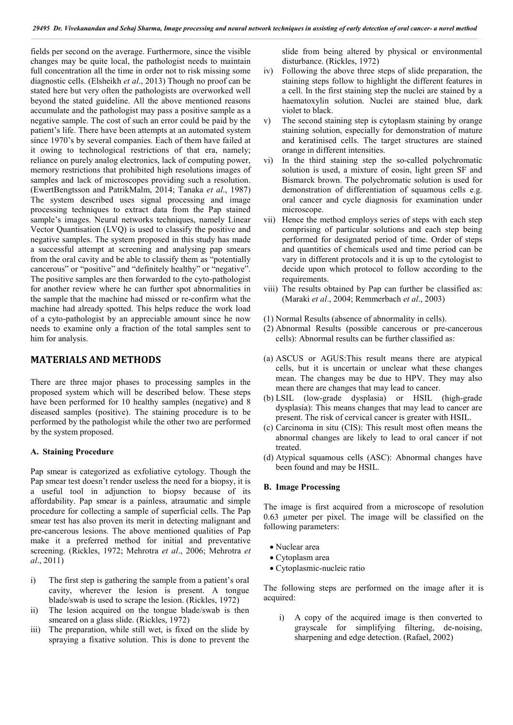fields per second on the average. Furthermore, since the visible changes may be quite local, the pathologist needs to maintain full concentration all the time in order not to risk missing some diagnostic cells. (Elsheikh *et al*., 2013) Though no proof can be stated here but very often the pathologists are overworked well beyond the stated guideline. All the above mentioned reasons accumulate and the pathologist may pass a positive sample as a negative sample. The cost of such an error could be paid by the patient's life. There have been attempts at an automated system since 1970's by several companies. Each of them have failed at it owing to technological restrictions of that era, namely; reliance on purely analog electronics, lack of computing power, memory restrictions that prohibited high resolutions images of samples and lack of microscopes providing such a resolution. (EwertBengtsson and PatrikMalm, 2014; Tanaka *et al*., 1987) The system described uses signal processing and image processing techniques to extract data from the Pap stained sample's images. Neural networks techniques, namely Linear Vector Quantisation (LVQ) is used to classify the positive and negative samples. The system proposed in this study has made a successful attempt at screening and analysing pap smears from the oral cavity and be able to classify them as "potentially cancerous" or "positive" and "definitely healthy" or "negative". The positive samples are then forwarded to the cyto-pathologist for another review where he can further spot abnormalities in the sample that the machine had missed or re-confirm what the machine had already spotted. This helps reduce the work load of a cyto-pathologist by an appreciable amount since he now needs to examine only a fraction of the total samples sent to him for analysis.

### **MATERIALS AND METHODS**

There are three major phases to processing samples in the proposed system which will be described below. These steps have been performed for 10 healthy samples (negative) and 8 diseased samples (positive). The staining procedure is to be performed by the pathologist while the other two are performed by the system proposed.

#### **A. Staining Procedure**

Pap smear is categorized as exfoliative cytology. Though the Pap smear test doesn't render useless the need for a biopsy, it is a useful tool in adjunction to biopsy because of its affordability. Pap smear is a painless, atraumatic and simple procedure for collecting a sample of superficial cells. The Pap smear test has also proven its merit in detecting malignant and pre-cancerous lesions. The above mentioned qualities of Pap make it a preferred method for initial and preventative screening. (Rickles, 1972; Mehrotra *et al*., 2006; Mehrotra *et al*., 2011)

- i) The first step is gathering the sample from a patient's oral cavity, wherever the lesion is present. A tongue blade/swab is used to scrape the lesion. (Rickles, 1972)
- ii) The lesion acquired on the tongue blade/swab is then smeared on a glass slide. (Rickles, 1972)
- iii) The preparation, while still wet, is fixed on the slide by spraying a fixative solution. This is done to prevent the

slide from being altered by physical or environmental disturbance. (Rickles, 1972)

- iv) Following the above three steps of slide preparation, the staining steps follow to highlight the different features in a cell. In the first staining step the nuclei are stained by a haematoxylin solution. Nuclei are stained blue, dark violet to black.
- v) The second staining step is cytoplasm staining by orange staining solution, especially for demonstration of mature and keratinised cells. The target structures are stained orange in different intensities.
- vi) In the third staining step the so-called polychromatic solution is used, a mixture of eosin, light green SF and Bismarck brown. The polychromatic solution is used for demonstration of differentiation of squamous cells e.g. oral cancer and cycle diagnosis for examination under microscope.
- vii) Hence the method employs series of steps with each step comprising of particular solutions and each step being performed for designated period of time. Order of steps and quantities of chemicals used and time period can be vary in different protocols and it is up to the cytologist to decide upon which protocol to follow according to the requirements.
- viii) The results obtained by Pap can further be classified as: (Maraki *et al*., 2004; Remmerbach *et al*., 2003)
- (1) Normal Results (absence of abnormality in cells).
- (2) Abnormal Results (possible cancerous or pre-cancerous cells): Abnormal results can be further classified as:
- (a) ASCUS or AGUS:This result means there are atypical cells, but it is uncertain or unclear what these changes mean. The changes may be due to HPV. They may also mean there are changes that may lead to cancer.
- (b) LSIL (low-grade dysplasia) or HSIL (high-grade dysplasia): This means changes that may lead to cancer are present. The risk of cervical cancer is greater with HSIL.
- (c) Carcinoma in situ (CIS): This result most often means the abnormal changes are likely to lead to oral cancer if not treated.
- (d) Atypical squamous cells (ASC): Abnormal changes have been found and may be HSIL.

#### **B. Image Processing**

The image is first acquired from a microscope of resolution 0.63 µmeter per pixel. The image will be classified on the following parameters:

- Nuclear area
- Cytoplasm area
- Cytoplasmic-nucleic ratio

The following steps are performed on the image after it is acquired:

i) A copy of the acquired image is then converted to grayscale for simplifying filtering, de-noising, sharpening and edge detection. (Rafael, 2002)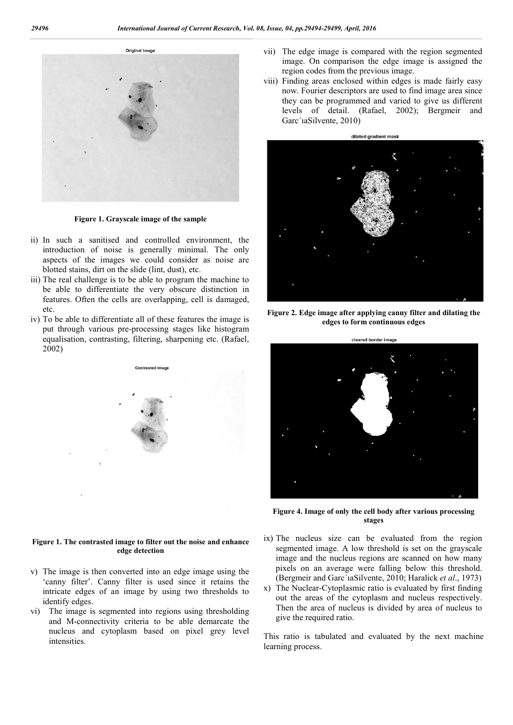Original Image



**Figure 1. Grayscale image of the sample**

- ii) In such a sanitised and controlled environment, the introduction of noise is generally minimal. The only aspects of the images we could consider as noise are blotted stains, dirt on the slide (lint, dust), etc.
- iii) The real challenge is to be able to program the machine to be able to differentiate the very obscure distinction in features. Often the cells are overlapping, cell is damaged, etc.
- iv) To be able to differentiate all of these features the image is put through various pre-processing stages like histogram equalisation, contrasting, filtering, sharpening etc. (Rafael, 2002)



#### **Figure 1. The contrasted image to filter out the noise and enhance edge detection**

- v) The image is then converted into an edge image using the 'canny filter'. Canny filter is used since it retains the intricate edges of an image by using two thresholds to identify edges.
- vi) The image is segmented into regions using thresholding and M-connectivity criteria to be able demarcate the nucleus and cytoplasm based on pixel grey level intensities.
- vii) The edge image is compared with the region segmented image. On comparison the edge image is assigned the region codes from the previous image.
- viii) Finding areas enclosed within edges is made fairly easy now. Fourier descriptors are used to find image area since they can be programmed and varied to give us different levels of detail. (Rafael, 2002); Bergmeir and Garc´ıaSilvente, 2010)



**Figure 2. Edge image after applying canny filter and dilating the edges to form continuous edges**



**Figure 4. Image of only the cell body after various processing stages**

- ix) The nucleus size can be evaluated from the region segmented image. A low threshold is set on the grayscale image and the nucleus regions are scanned on how many pixels on an average were falling below this threshold. (Bergmeir and Garc´ıaSilvente, 2010; Haralick *et al*., 1973)
- x) The Nuclear-Cytoplasmic ratio is evaluated by first finding out the areas of the cytoplasm and nucleus respectively. Then the area of nucleus is divided by area of nucleus to give the required ratio.

This ratio is tabulated and evaluated by the next machine learning process.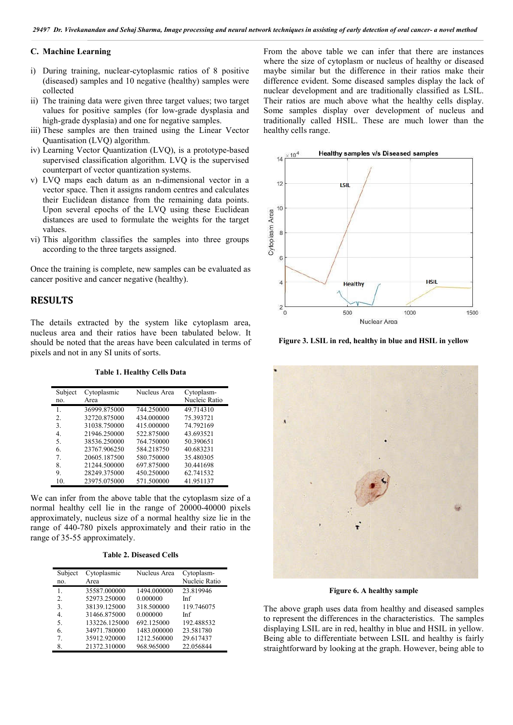#### **C. Machine Learning**

- i) During training, nuclear-cytoplasmic ratios of 8 positive (diseased) samples and 10 negative (healthy) samples were collected ng training, nuclear-cytoplasmic ratios of 8 positive<br>ased) samples and 10 negative (healthy) samples were<br>cted<br>raining data were given three target values; two target<br>s for positive samples (for low-grade dysplasia and<br>gr
- ii) The training data were given three target values; two target values for positive samples (for low-grade dysplasia and high-grade dysplasia) and one for negative samples.
- iii) These samples are then trained using the Linear Vector Quantisation (LVQ) algorithm.
- iv) Learning Vector Quantization (LVQ), is a prototype supervised classification algorithm. LVQ is the supervised counterpart of vector quantization systems.
- v) LVQ maps each datum as an n-dimensional vector in a vector space. Then it assigns random centres and calculates their Euclidean distance from the remaining data points. Upon several epochs of the LVQ using these Euclidean distances are used to formulate the weights for the target values. ification algorithm. LVQ is the supervised<br>ector quantization systems.<br>h datum as an n-dimensional vector in a<br>een it assigns random centres and calculates<br>distance from the remaining data points.<br>pochs of the LVQ using th
- vi) This algorithm classifies the samples into three groups according to the three targets assigned.

Once the training is complete, new samples can be evaluated as cancer positive and cancer negative (healthy).

### **RESULTS**

The details extracted by the system like cytoplasm area, nucleus area and their ratios have been tabulated below. It should be noted that the areas have been calculated in terms of pixels and not in any SI units of sorts.

**Table 1. Healthy Cells Data .** 

| Subject<br>no. | Cytoplasmic<br>Area | Nucleus Area | Cytoplasm-<br>Nucleic Ratio |
|----------------|---------------------|--------------|-----------------------------|
| 1.             | 36999.875000        | 744.250000   | 49.714310                   |
| 2.             | 32720.875000        | 434.000000   | 75.393721                   |
| 3.             | 31038.750000        | 415.000000   | 74.792169                   |
| 4.             | 21946.250000        | 522.875000   | 43.693521                   |
| 5.             | 38536.250000        | 764.750000   | 50.390651                   |
| 6.             | 23767.906250        | 584.218750   | 40.683231                   |
| $7_{\cdot}$    | 20605.187500        | 580.750000   | 35.480305                   |
| 8.             | 21244.500000        | 697.875000   | 30.441698                   |
| 9.             | 28249.375000        | 450.250000   | 62.741532                   |
| 10.            | 23975.075000        | 571.500000   | 41.951137                   |

We can infer from the above table that the cytoplasm size of a normal healthy cell lie in the range of 20000 20000-40000 pixels approximately, nucleus size of a normal healthy size lie in the range of 440-780 pixels approximately and their ratio in the range of 35-55 approximately.

**Table 2. Diseased Cells**

| Subject<br>no.   | Cytoplasmic<br>Area | Nucleus Area | Cytoplasm-<br>Nucleic Ratio |
|------------------|---------------------|--------------|-----------------------------|
| 1.               | 35587.000000        | 1494.000000  | 23.819946                   |
| $\overline{2}$ . | 52973.250000        | 0.000000     | Inf                         |
| 3.               | 38139.125000        | 318.500000   | 119.746075                  |
| 4.               | 31466.875000        | 0.000000     | Inf                         |
| 5.               | 133226.125000       | 692.125000   | 192.488532                  |
| 6.               | 34971.780000        | 1483.000000  | 23.581780                   |
| 7                | 35912.920000        | 1212.560000  | 29.617437                   |
| 8.               | 21372.310000        | 968.965000   | 22.056844                   |

From the above table we can infer that there are instances where the size of cytoplasm or nucleus of healthy or diseased maybe similar but the difference in their ratios make their difference evident. Some diseased samples display the lack of nuclear development and are traditionally classified as LSIL. Their ratios are much above what the healthy cells display. Some samples display over development of nucleus and traditionally called HSIL. These are much lower than the healthy cells range. the size of cytoplasm or nucleus of healthy or diseased similar but the difference in their ratios make their nce evident. Some diseased samples display the lack of r development and are traditionally classified as LSIL ra



**Figure 3. LSIL in red, healthy in blue and HSIL in yellow**



**Figure 6. A healthy sample**

The above graph uses data from healthy and diseased samples to represent the differences in the characteristics. The samples displaying LSIL are in red, healthy in blue and HSIL in yellow. Being able to differentiate between LSIL and healthy is fairly straightforward by looking at the graph. However, being able to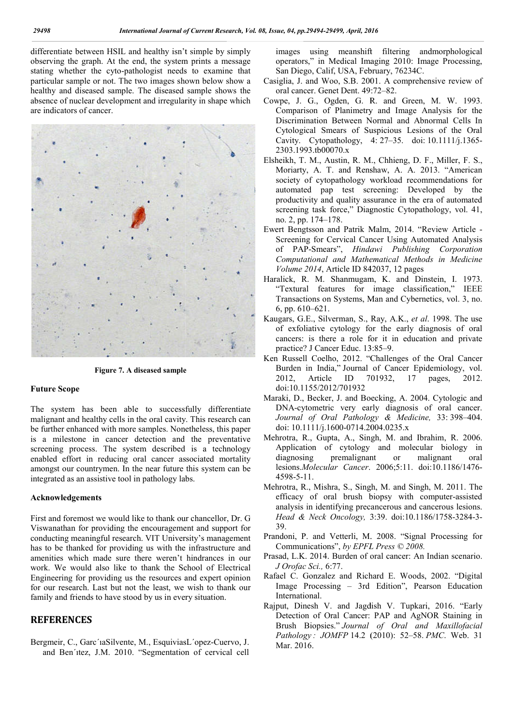differentiate between HSIL and healthy isn't simple by simply observing the graph. At the end, the system prints a message stating whether the cyto-pathologist needs to examine that particular sample or not. The two images shown below show a healthy and diseased sample. The diseased sample shows the absence of nuclear development and irregularity in shape which are indicators of cancer.



**Figure 7. A diseased sample .** 

#### **Future Scope**

The system has been able to successfully differentiate malignant and healthy cells in the oral cavity. This research can be further enhanced with more samples. Nonetheless, this paper is a milestone in cancer detection and the preventative screening process. The system described is a technology enabled effort in reducing oral cancer associated mortality amongst our countrymen. In the near future this system can be integrated as an assistive tool in pathology labs.

#### **Acknowledgements**

First and foremost we would like to thank our chancellor, Dr. G Viswanathan for providing the encouragement and support for conducting meaningful research. VIT University's management has to be thanked for providing us with the infrastructure and amenities which made sure there weren't hindrances in our work. We would also like to thank the School of Electrical Engineering for providing us the resources and expert opinion for our research. Last but not the least, we wish to thank our family and friends to have stood by us in every situation.

### **REFERENCES**

Bergmeir, C., Garc'iaSilvente, M., EsquiviasL'opez-Cuervo, J. and Ben´ıtez, J.M. 2010. "Segmentation of cervical cell images using meanshift filtering andmorphological operators," in Medical Imaging 2010: Image Processing, operators," in Medical Imaging 2010: In<br>San Diego, Calif, USA, February, 76234C.

- Casiglia, J. and Woo, S.B. 2001. A comprehensive review of oral cancer. Genet Dent. 49:72 49:72–82.
- Cowpe, J. G., Ogden, G. R. and Green, M. W. 1993. Comparison of Planimetry and Image Analysis for the Comparison of Planimetry and Image Analysis for the Discrimination Between Normal and Abnormal Cells In Cytological Smears of Suspicious Lesions of the Oral Cavity. Cytopathology, 4: 27–35. doi: 10.1111/j.1365- 2303.1993.tb00070.x
- Elsheikh, T. M., Austin, R. M. M., Chhieng, D. F., Miller, F. S., Moriarty, A. T. and Renshaw, A. A. 2013. "American society of cytopathology workload recommendations for automated pap test screening: Developed by the productivity and quality assurance in the era of automated screening task force," Diagnostic Cytopathology, vol. 41, no. 2, pp. 174–178. quality assurance in the era of automated<br>rce," Diagnostic Cytopathology, vol. 41,<br>8.<br>d Patrik Malm, 2014. "Review Article -
- Ewert Bengtsson and Patrik Malm, Screening for Cervical Cancer Using Automated Analysis Screening of PAP-Smears", *Hindawi Publishing Corporation Computational and Mathematical Methods in Medicine Methods Medicine Volume 2014*, Article ID 842037, 12 pages Volume 2014, Article ID 842037, 12 pages<br>Haralick, R. M. Shanmugam, K. and Dinstein, I. 1973.
- "Textural features for image classification," IEEE Transactions on Systems, Man and Cybernetics, vol. 3, no. 6, pp. 610–621. Transactions on Systems, Man and Cybernetics, vol. 3, no.<br>6, pp. 610–621.<br>Kaugars, G.E., Silverman, S., Ray, A.K., *et al.* 1998. The use
- of exfoliative cytology for the early diagnosis of oral cancers: is there a role for it in education and private cancers: is there a role for it i<br>practice? J Cancer Educ. 13:85–9.
- Ken Russell Coelho, 2012. "Challenges of the Oral Cancer Burden in India," Journal of Cancer Epidemiology, vol. 2012, Article ID 701932, 17 pages, 2012. doi:10.1155/2012/701932 "Challenges of the Oral Cancer<br>1 of Cancer Epidemiology, vol.<br>701932, 17 pages, 2012.<br>oecking, A. 2004. Cytologic and
- Maraki, D., Becker, J. and Boecking, A. 2004. Cytologic and DNA-cytometric very early diagnosis of oral cancer. Journal of Oral Pathology & Medicine, 33: 398-404. doi: 10.1111/j.1600-0714.2004.0235.x
- doi: 10.1111/j.1600-0714.2004.0235.x<br>Mehrotra, R., Gupta, A., Singh, M. and Ibrahim, R. 2006. Application of cytology and molecular biology in diagnosing premalignant or malignant oral Application of cytology and molecular biology in<br>diagnosing premalignant or malignant oral<br>lesions.*Molecular Cancer*. 2006;5:11. doi:10.1186/1476-4598-5-11.
- Mehrotra, R., Mishra, S., Singh, M. and Singh, M. 2011. The efficacy of oral brush biopsy with computer-assisted analysis in identifying precancerous and cancerous lesions. Head & Neck Oncology, 3:39. doi:10.1186/1758-3284-3-39.
- Prandoni, P. and Vetterli, M. 2008. "Signal Processing for Communications", *by EPFL Press © 2008.*
- Prasad, L.K. 2014. Burden of oral cancer: An Indian scenario. *J Orofac Sci.,* 6:77. Prasad, L.K. 2014. Burden of oral cancer: An Indian scenario.<br>
J Orofac Sci., 6:77.<br>
Rafael C. Gonzalez and Richard E. Woods, 2002. "Digital
- Image Processing 3rd Edition", Pearson Education<br>International.<br>put, Dinesh V. and Jagdish V. Tupkari, 2016. "Early International.
- Rajput, Dinesh V. and Jagdish V. Tupkari, 2016. "Early Detection of Oral Cancer: PAP and AgNOR Staining in Brush Biopsies." Journal of Oral and Maxillofacial *Pathology : JOMFP* 14.2 (2010): 52 (2010): 52–58. *PMC*. Web. 31 Mar. 2016.